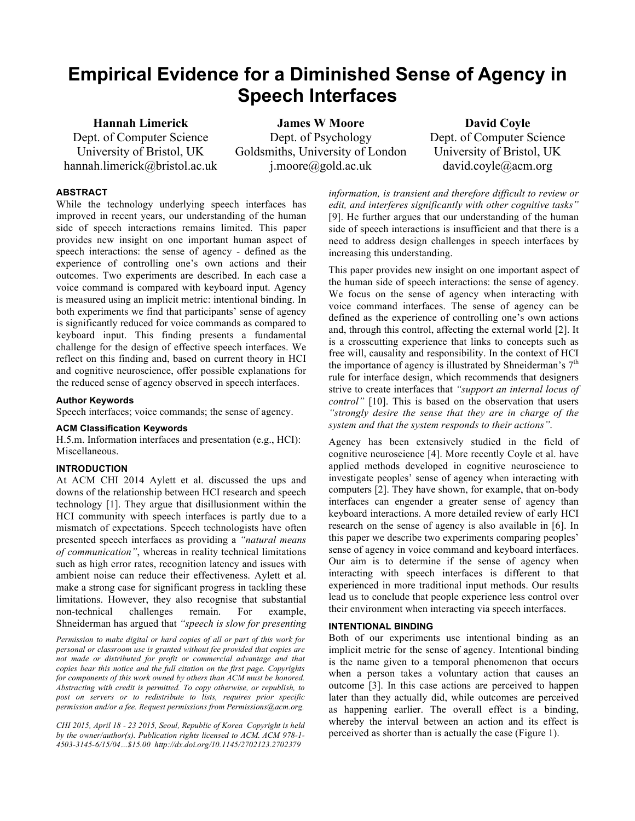# **Empirical Evidence for a Diminished Sense of Agency in Speech Interfaces**

**Hannah Limerick** Dept. of Computer Science University of Bristol, UK hannah.limerick@bristol.ac.uk

**James W Moore** Dept. of Psychology Goldsmiths, University of London j.moore@gold.ac.uk

**David Coyle** Dept. of Computer Science University of Bristol, UK david.coyle@acm.org

# **ABSTRACT**

While the technology underlying speech interfaces has improved in recent years, our understanding of the human side of speech interactions remains limited. This paper provides new insight on one important human aspect of speech interactions: the sense of agency - defined as the experience of controlling one's own actions and their outcomes. Two experiments are described. In each case a voice command is compared with keyboard input. Agency is measured using an implicit metric: intentional binding. In both experiments we find that participants' sense of agency is significantly reduced for voice commands as compared to keyboard input. This finding presents a fundamental challenge for the design of effective speech interfaces. We reflect on this finding and, based on current theory in HCI and cognitive neuroscience, offer possible explanations for the reduced sense of agency observed in speech interfaces.

# **Author Keywords**

Speech interfaces; voice commands; the sense of agency.

# **ACM Classification Keywords**

H.5.m. Information interfaces and presentation (e.g., HCI): Miscellaneous.

# **INTRODUCTION**

At ACM CHI 2014 Aylett et al. discussed the ups and downs of the relationship between HCI research and speech technology [1]. They argue that disillusionment within the HCI community with speech interfaces is partly due to a mismatch of expectations. Speech technologists have often presented speech interfaces as providing a *"natural means of communication"*, whereas in reality technical limitations such as high error rates, recognition latency and issues with ambient noise can reduce their effectiveness. Aylett et al. make a strong case for significant progress in tackling these limitations. However, they also recognise that substantial non-technical challenges remain. For example, Shneiderman has argued that *"speech is slow for presenting*

*Permission to make digital or hard copies of all or part of this work for personal or classroom use is granted without fee provided that copies are not made or distributed for profit or commercial advantage and that copies bear this notice and the full citation on the first page. Copyrights for components of this work owned by others than ACM must be honored. Abstracting with credit is permitted. To copy otherwise, or republish, to post on servers or to redistribute to lists, requires prior specific permission and/or a fee. Request permissions from Permissions@acm.org.*

*CHI 2015, April 18 - 23 2015, Seoul, Republic of Korea Copyright is held by the owner/author(s). Publication rights licensed to ACM. ACM 978-1- 4503-3145-6/15/04…\$15.00 http://dx.doi.org/10.1145/2702123.2702379*

*information, is transient and therefore difficult to review or edit, and interferes significantly with other cognitive tasks"* [9]. He further argues that our understanding of the human side of speech interactions is insufficient and that there is a need to address design challenges in speech interfaces by increasing this understanding.

This paper provides new insight on one important aspect of the human side of speech interactions: the sense of agency. We focus on the sense of agency when interacting with voice command interfaces. The sense of agency can be defined as the experience of controlling one's own actions and, through this control, affecting the external world [2]. It is a crosscutting experience that links to concepts such as free will, causality and responsibility. In the context of HCI the importance of agency is illustrated by Shneiderman's  $7<sup>th</sup>$ rule for interface design, which recommends that designers strive to create interfaces that *"support an internal locus of control"* [10]. This is based on the observation that users *"strongly desire the sense that they are in charge of the system and that the system responds to their actions"*.

Agency has been extensively studied in the field of cognitive neuroscience [4]. More recently Coyle et al. have applied methods developed in cognitive neuroscience to investigate peoples' sense of agency when interacting with computers [2]. They have shown, for example, that on-body interfaces can engender a greater sense of agency than keyboard interactions. A more detailed review of early HCI research on the sense of agency is also available in [6]. In this paper we describe two experiments comparing peoples' sense of agency in voice command and keyboard interfaces. Our aim is to determine if the sense of agency when interacting with speech interfaces is different to that experienced in more traditional input methods. Our results lead us to conclude that people experience less control over their environment when interacting via speech interfaces.

## **INTENTIONAL BINDING**

Both of our experiments use intentional binding as an implicit metric for the sense of agency. Intentional binding is the name given to a temporal phenomenon that occurs when a person takes a voluntary action that causes an outcome [3]. In this case actions are perceived to happen later than they actually did, while outcomes are perceived as happening earlier. The overall effect is a binding, whereby the interval between an action and its effect is perceived as shorter than is actually the case (Figure 1).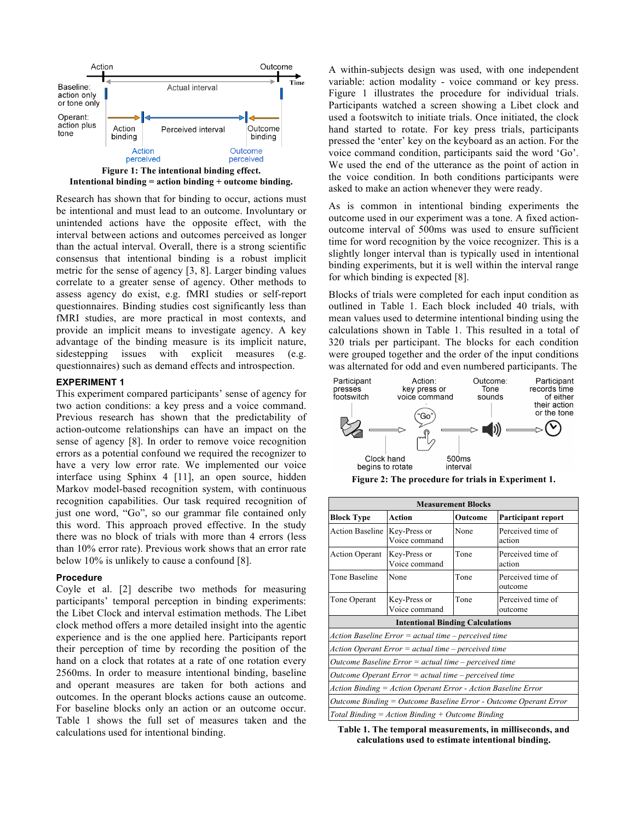

**Intentional binding = action binding + outcome binding.**

Research has shown that for binding to occur, actions must be intentional and must lead to an outcome. Involuntary or unintended actions have the opposite effect, with the interval between actions and outcomes perceived as longer than the actual interval. Overall, there is a strong scientific consensus that intentional binding is a robust implicit metric for the sense of agency [3, 8]. Larger binding values correlate to a greater sense of agency. Other methods to assess agency do exist, e.g. fMRI studies or self-report questionnaires. Binding studies cost significantly less than fMRI studies, are more practical in most contexts, and provide an implicit means to investigate agency. A key advantage of the binding measure is its implicit nature, sidestepping issues with explicit measures (e.g. questionnaires) such as demand effects and introspection.

#### **EXPERIMENT 1**

This experiment compared participants' sense of agency for two action conditions: a key press and a voice command. Previous research has shown that the predictability of action-outcome relationships can have an impact on the sense of agency [8]. In order to remove voice recognition errors as a potential confound we required the recognizer to have a very low error rate. We implemented our voice interface using Sphinx 4 [11], an open source, hidden Markov model-based recognition system, with continuous recognition capabilities. Our task required recognition of just one word, "Go", so our grammar file contained only this word. This approach proved effective. In the study there was no block of trials with more than 4 errors (less than 10% error rate). Previous work shows that an error rate below 10% is unlikely to cause a confound [8].

#### **Procedure**

Coyle et al. [2] describe two methods for measuring participants' temporal perception in binding experiments: the Libet Clock and interval estimation methods. The Libet clock method offers a more detailed insight into the agentic experience and is the one applied here. Participants report their perception of time by recording the position of the hand on a clock that rotates at a rate of one rotation every 2560ms. In order to measure intentional binding, baseline and operant measures are taken for both actions and outcomes. In the operant blocks actions cause an outcome. For baseline blocks only an action or an outcome occur. Table 1 shows the full set of measures taken and the calculations used for intentional binding.

A within-subjects design was used, with one independent variable: action modality - voice command or key press. Figure 1 illustrates the procedure for individual trials. Participants watched a screen showing a Libet clock and used a footswitch to initiate trials. Once initiated, the clock hand started to rotate. For key press trials, participants pressed the 'enter' key on the keyboard as an action. For the voice command condition, participants said the word 'Go'. We used the end of the utterance as the point of action in the voice condition. In both conditions participants were asked to make an action whenever they were ready.

As is common in intentional binding experiments the outcome used in our experiment was a tone. A fixed actionoutcome interval of 500ms was used to ensure sufficient time for word recognition by the voice recognizer. This is a slightly longer interval than is typically used in intentional binding experiments, but it is well within the interval range for which binding is expected [8].

Blocks of trials were completed for each input condition as outlined in Table 1. Each block included 40 trials, with mean values used to determine intentional binding using the calculations shown in Table 1. This resulted in a total of 320 trials per participant. The blocks for each condition were grouped together and the order of the input conditions was alternated for odd and even numbered participants. The



**Figure 2: The procedure for trials in Experiment 1.**

| <b>Measurement Blocks</b>                                        |                               |         |                              |
|------------------------------------------------------------------|-------------------------------|---------|------------------------------|
| <b>Block Type</b>                                                | Action                        | Outcome | Participant report           |
| Action Baseline Key-Press or                                     | Voice command                 | None    | Perceived time of<br>action  |
| <b>Action Operant</b>                                            | Key-Press or<br>Voice command | Tone    | Perceived time of<br>action  |
| Tone Baseline                                                    | None                          | Tone    | Perceived time of<br>outcome |
| Tone Operant                                                     | Key-Press or<br>Voice command | Tone    | Perceived time of<br>outcome |
| <b>Intentional Binding Calculations</b>                          |                               |         |                              |
| Action Baseline Error = actual time – perceived time             |                               |         |                              |
| Action Operant Error = actual time – perceived time              |                               |         |                              |
| Outcome Baseline Error = actual time $-$ perceived time          |                               |         |                              |
| Outcome Operant Error $=$ actual time $-$ perceived time         |                               |         |                              |
| Action Binding = Action Operant Error - Action Baseline Error    |                               |         |                              |
| Outcome Binding = Outcome Baseline Error - Outcome Operant Error |                               |         |                              |
| Total Binding = $Action$ Binding + Outcome Binding               |                               |         |                              |

**Table 1. The temporal measurements, in milliseconds, and calculations used to estimate intentional binding.**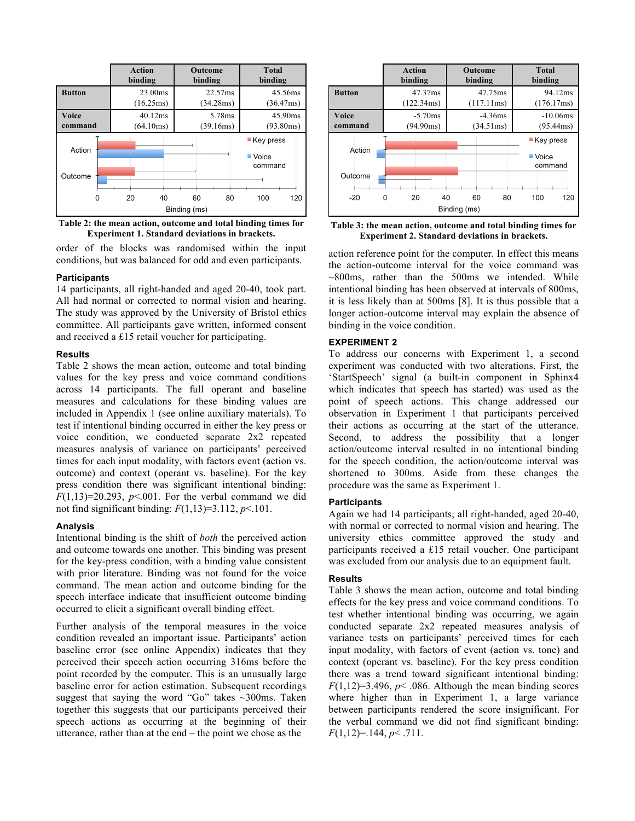

**Table 2: the mean action, outcome and total binding times for Experiment 1. Standard deviations in brackets.**

order of the blocks was randomised within the input conditions, but was balanced for odd and even participants.

#### **Participants**

14 participants, all right-handed and aged 20-40, took part. All had normal or corrected to normal vision and hearing. The study was approved by the University of Bristol ethics committee. All participants gave written, informed consent and received a £15 retail voucher for participating.

#### **Results**

Table 2 shows the mean action, outcome and total binding values for the key press and voice command conditions across 14 participants. The full operant and baseline measures and calculations for these binding values are included in Appendix 1 (see online auxiliary materials). To test if intentional binding occurred in either the key press or voice condition, we conducted separate 2x2 repeated measures analysis of variance on participants' perceived times for each input modality, with factors event (action vs. outcome) and context (operant vs. baseline). For the key press condition there was significant intentional binding:  $F(1,13)=20.293$ ,  $p<.001$ . For the verbal command we did not find significant binding: *F*(1,13)=3.112, *p*<.101.

#### **Analysis**

Intentional binding is the shift of *both* the perceived action and outcome towards one another. This binding was present for the key-press condition, with a binding value consistent with prior literature. Binding was not found for the voice command. The mean action and outcome binding for the speech interface indicate that insufficient outcome binding occurred to elicit a significant overall binding effect.

Further analysis of the temporal measures in the voice condition revealed an important issue. Participants' action baseline error (see online Appendix) indicates that they perceived their speech action occurring 316ms before the point recorded by the computer. This is an unusually large baseline error for action estimation. Subsequent recordings suggest that saying the word "Go" takes  $\sim 300$ ms. Taken together this suggests that our participants perceived their speech actions as occurring at the beginning of their utterance, rather than at the end – the point we chose as the



**Table 3: the mean action, outcome and total binding times for Experiment 2. Standard deviations in brackets.** 

action reference point for the computer. In effect this means the action-outcome interval for the voice command was ~800ms, rather than the 500ms we intended. While intentional binding has been observed at intervals of 800ms, it is less likely than at 500ms [8]. It is thus possible that a longer action-outcome interval may explain the absence of binding in the voice condition.

# **EXPERIMENT 2**

To address our concerns with Experiment 1, a second experiment was conducted with two alterations. First, the 'StartSpeech' signal (a built-in component in Sphinx4 which indicates that speech has started) was used as the point of speech actions. This change addressed our observation in Experiment 1 that participants perceived their actions as occurring at the start of the utterance. Second, to address the possibility that a longer action/outcome interval resulted in no intentional binding for the speech condition, the action/outcome interval was shortened to 300ms. Aside from these changes the procedure was the same as Experiment 1.

## **Participants**

Again we had 14 participants; all right-handed, aged 20-40, with normal or corrected to normal vision and hearing. The university ethics committee approved the study and participants received a £15 retail voucher. One participant was excluded from our analysis due to an equipment fault.

#### **Results**

Table 3 shows the mean action, outcome and total binding effects for the key press and voice command conditions. To test whether intentional binding was occurring, we again conducted separate 2x2 repeated measures analysis of variance tests on participants' perceived times for each input modality, with factors of event (action vs. tone) and context (operant vs. baseline). For the key press condition there was a trend toward significant intentional binding:  $F(1,12)=3.496$ ,  $p< .086$ . Although the mean binding scores where higher than in Experiment 1, a large variance between participants rendered the score insignificant. For the verbal command we did not find significant binding: *F*(1,12)=.144, *p*< .711.